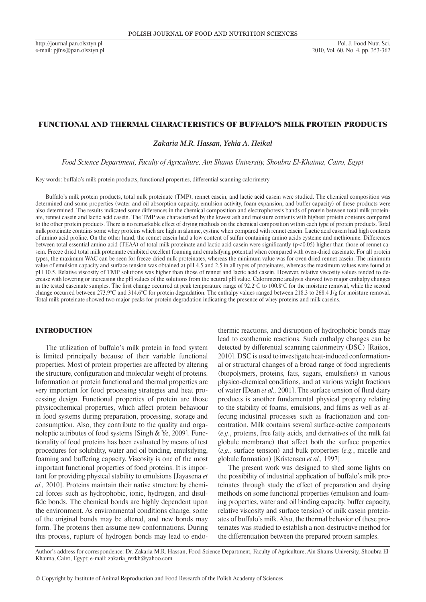http://journal.pan.olsztyn.pl e-mail: pjfns@pan.olsztyn.pl

## FUNCTIONAL AND THERMAL CHARACTERISTICS OF BUFFALO'S MILK PROTEIN PRODUCTS

*Zakaria M.R. Hassan, Yehia A. Heikal*

*Food Science Department, Faculty of Agriculture, Ain Shams University, Shoubra El-Khaima, Cairo, Egypt*

Key words: buffalo's milk protein products, functional properties, differential scanning calorimetry

Buffalo's milk protein products, total milk proteinate (TMP), rennet casein, and lactic acid casein were studied. The chemical composition was determined and some properties (water and oil absorption capacity, emulsion activity, foam expansion, and buffer capacity) of these products were also determined. The results indicated some differences in the chemical composition and electrophoresis bands of protein between total milk proteinate, rennet casein and lactic acid casein. The TMP was characterised by the lowest ash and moisture contents with highest protein contents compared to the other protein products. There is no remarkable effect of drying methods on the chemical composition within each type of protein products. Total milk proteinate contains some whey proteins which are high in alanine, cystine when compared with rennet casein. Lactic acid casein had high contents of amino acid proline. On the other hand, the rennet casein had a low content of sulfur containing amino acids cysteine and methionine. Differences between total essential amino acid (TEAA) of total milk proteinate and lactic acid casein were significantly (p<0.05) higher than those of rennet casein. Freeze dried total milk proteinate exhibited excellent foaming and emulsifying potential when compared with oven-dried caseinate. For all protein types, the maximum WAC can be seen for freeze-dried milk proteinates, whereas the minimum value was for oven dried rennet casein. The minimum value of emulsion capacity and surface tension was obtained at pH 4.5 and 2.5 in all types of proteinates, whereas the maximum values were found at pH 10.5. Relative viscosity of TMP solutions was higher than those of rennet and lactic acid casein. However, relative viscosity values tended to decrease with lowering or increasing the pH values of the solutions from the neutral pH value. Calorimetric analysis showed two major enthalpy changes in the tested caseinate samples. The first change occurred at peak temperature range of 92.2°C to 100.8°C for the moisture removal, while the second change occurred between 273.9°C and 314.6°C for protein degradation. The enthalpy values ranged between 218.3 to 268.4 J/g for moisture removal. Total milk proteinate showed two major peaks for protein degradation indicating the presence of whey proteins and milk caseins.

## INTRODUCTION

The utilization of buffalo's milk protein in food system is limited principally because of their variable functional properties. Most of protein properties are affected by altering the structure, configuration and molecular weight of proteins. Information on protein functional and thermal properties are very important for food processing strategies and heat processing design. Functional properties of protein are those physicochemical properties, which affect protein behaviour in food systems during preparation, processing, storage and consumption. Also, they contribute to the quality and organoleptic attributes of food systems [Singh & Ye, 2009]. Functionality of food proteins has been evaluated by means of test procedures for solubility, water and oil binding, emulsifying, foaming and buffering capacity. Viscosity is one of the most important functional properties of food proteins. It is important for providing physical stability to emulsions [Jayasena *et al.,* 2010]. Proteins maintain their native structure by chemical forces such as hydrophobic, ionic, hydrogen, and disulfide bonds. The chemical bonds are highly dependent upon the environment. As environmental conditions change, some of the original bonds may be altered, and new bonds may form. The proteins then assume new conformations. During this process, rupture of hydrogen bonds may lead to endo-

thermic reactions, and disruption of hydrophobic bonds may lead to exothermic reactions. Such enthalpy changes can be detected by differential scanning calorimetry (DSC) [Raikos, 2010]. DSC is used to investigate heat-induced conformational or structural changes of a broad range of food ingredients (biopolymers, proteins, fats, sugars, emulsifiers) in various physico-chemical conditions, and at various weight fractions of water [Dean *et al.,* 2001]. The surface tension of fluid dairy products is another fundamental physical property relating to the stability of foams, emulsions, and films as well as affecting industrial processes such as fractionation and concentration. Milk contains several surface-active components (*e.g*., proteins, free fatty acids, and derivatives of the milk fat globule membrane) that affect both the surface properties (*e.g.,* surface tension) and bulk properties (*e.g.*, micelle and globule formation) [Kristensen *et al.,* 1997].

The present work was designed to shed some lights on the possibility of industrial application of buffalo's milk proteinates through study the effect of preparation and drying methods on some functional properties (emulsion and foaming properties, water and oil binding capacity, buffer capacity, relative viscosity and surface tension) of milk casein proteinates of buffalo's milk. Also, the thermal behavior of these proteinates was studied to establish a non-destructive method for the differentiation between the prepared protein samples.

Author's address for correspondence: Dr. Zakaria M.R. Hassan, Food Science Department, Faculty of Agriculture, Ain Shams University, Shoubra El-Khaima, Cairo, Egypt; e-mail: zakaria\_rezkh@yahoo.com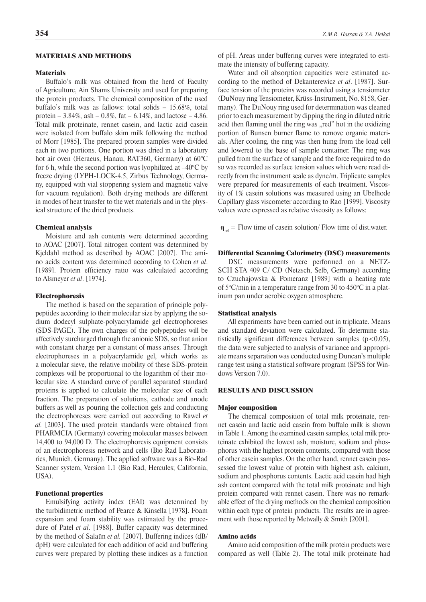### MATERIALS AND METHODS

## **Materials**

Buffalo's milk was obtained from the herd of Faculty of Agriculture, Ain Shams University and used for preparing the protein products. The chemical composition of the used buffalo's milk was as fallows: total solids – 15.68%, total protein –  $3.84\%$ , ash –  $0.8\%$ , fat –  $6.14\%$ , and lactose –  $4.86$ . Total milk proteinate, rennet casein, and lactic acid casein were isolated from buffalo skim milk following the method of Morr [1985]. The prepared protein samples were divided each in two portions. One portion was dried in a laboratory hot air oven (Heraeus, Hanau, RAT360, Germany) at 60°C for 6 h, while the second portion was lyophilized at –40°C by freeze drying (LYPH-LOCK-4.5, Zirbus Technology, Germany, equipped with vial stoppering system and magnetic valve for vacuum regulation). Both drying methods are different in modes of heat transfer to the wet materials and in the physical structure of the dried products.

#### Chemical analysis

Moisture and ash contents were determined according to AOAC [2007]. Total nitrogen content was determined by Kjeldahl method as described by AOAC [2007]. The amino acids content was determined according to Cohen *et al*. [1989]. Protein efficiency ratio was calculated according to Alsmeyer *et al*. [1974].

### Electrophoresis

The method is based on the separation of principle polypeptides according to their molecular size by applying the sodium dodecyl sulphate-polyacrylamide gel electrophoreses (SDS-PAGE). The own charges of the polypeptides will be affectively surcharged through the anionic SDS, so that anion with constant charge per a constant of mass arises. Through electrophoreses in a polyacrylamide gel, which works as a molecular sieve, the relative mobility of these SDS-protein complexes will be proportional to the logarithm of their molecular size. A standard curve of parallel separated standard proteins is applied to calculate the molecular size of each fraction. The preparation of solutions, cathode and anode buffers as well as pouring the collection gels and conducting the electrophoreses were carried out according to Rawel *et al.* [2003]. The used protein standards were obtained from PHARMCIA (Germany) covering molecular masses between 14,400 to 94,000 D. The electrophoresis equipment consists of an electrophoresis network and cells (Bio Rad Laboratories, Munich, Germany). The applied software was a Bio-Rad Scanner system, Version 1.1 (Bio Rad, Hercules; California, USA).

### Functional properties

Emulsifying activity index (EAI) was determined by the turbidimetric method of Pearce & Kinsella [1978]. Foam expansion and foam stability was estimated by the procedure of Patel *et al*. [1988]. Buffer capacity was determined by the method of Salaün *et al.* [2007]. Buffering indices (dB/ dpH) were calculated for each addition of acid and buffering curves were prepared by plotting these indices as a function of pH. Areas under buffering curves were integrated to estimate the intensity of buffering capacity.

Water and oil absorption capacities were estimated according to the method of Dekanterewicz *et al*. [1987]. Surface tension of the proteins was recorded using a tensiometer (DuNouy ring Tensiometer, Krüss-Instrument, No. 8158, Germany). The DuNouy ring used for determination was cleaned prior to each measurement by dipping the ring in diluted nitric acid then flaming until the ring was "red" hot in the oxidizing portion of Bunsen burner flame to remove organic materials. After cooling, the ring was then hung from the load cell and lowered to the base of sample container. The ring was pulled from the surface of sample and the force required to do so was recorded as surface tension values which were read directly from the instrument scale as dyne/m. Triplicate samples were prepared for measurements of each treatment. Viscosity of 1% casein solutions was measured using an Ubelhode Capillary glass viscometer according to Rao [1999]. Viscosity values were expressed as relative viscosity as follows:

 $\mathbf{n}_{rel}$  = Flow time of casein solution/ Flow time of dist.water.

## Differential Scanning Calorimetry (DSC) measurements

DSC measurements were performed on a NETZ-SCH STA 409 C/ CD (Netzsch, Selb, Germany) according to Czuchajowska & Pomeranz [1989] with a heating rate of 5°C/min in a temperature range from 30 to 450°C in a platinum pan under aerobic oxygen atmosphere.

## Statistical analysis

All experiments have been carried out in triplicate. Means and standard deviation were calculated. To determine statistically significant differences between samples  $(p<0.05)$ , the data were subjected to analysis of variance and appropriate means separation was conducted using Duncan's multiple range test using a statistical software program (SPSS for Windows Version 7.0).

## RESULTS AND DISCUSSION

#### Major composition

The chemical composition of total milk proteinate, rennet casein and lactic acid casein from buffalo milk is shown in Table 1. Among the examined casein samples, total milk proteinate exhibited the lowest ash, moisture, sodium and phosphorus with the highest protein contents, compared with those of other casein samples. On the other hand, rennet casein possessed the lowest value of protein with highest ash, calcium, sodium and phosphorus contents. Lactic acid casein had high ash content compared with the total milk proteinate and high protein compared with rennet casein. There was no remarkable effect of the drying methods on the chemical composition within each type of protein products. The results are in agreement with those reported by Metwally & Smith [2001].

### Amino acids

Amino acid composition of the milk protein products were compared as well (Table 2). The total milk proteinate had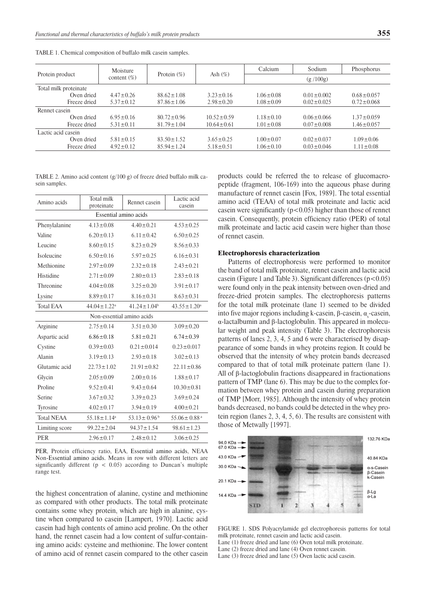|                       | Moisture        | Protein $(\%)$   | Ash $(\%)$       | Calcium         | Sodium           | Phosphorus       |
|-----------------------|-----------------|------------------|------------------|-----------------|------------------|------------------|
| Protein product       | content $(\%)$  |                  |                  |                 | (g/100g)         |                  |
| Total milk proteinate |                 |                  |                  |                 |                  |                  |
| Oven dried            | $4.47 \pm 0.26$ | $88.62 \pm 1.08$ | $3.23 \pm 0.16$  | $1.06 \pm 0.08$ | $0.01 \pm 0.002$ | $0.68 \pm 0.057$ |
| Freeze dried          | $5.37 \pm 0.12$ | $87.86 \pm 1.06$ | $2.98 \pm 0.20$  | $1.08 \pm 0.09$ | $0.02 \pm 0.025$ | $0.72 \pm 0.068$ |
| Rennet casein         |                 |                  |                  |                 |                  |                  |
| Oven dried            | $6.95 \pm 0.16$ | $80.72 \pm 0.96$ | $10.52 \pm 0.59$ | $1.18 \pm 0.10$ | $0.06 \pm 0.066$ | $1.37 \pm 0.059$ |
| Freeze dried          | $5.31 \pm 0.11$ | $81.79 \pm 1.04$ | $10.64 \pm 0.61$ | $1.01 \pm 0.08$ | $0.07 \pm 0.008$ | $1.46 \pm 0.057$ |
| Lactic acid casein    |                 |                  |                  |                 |                  |                  |
| Oven dried            | $5.81 \pm 0.15$ | $83.50 \pm 1.52$ | $3.65 \pm 0.25$  | $1.00 \pm 0.07$ | $0.02 \pm 0.037$ | $1.09 \pm 0.06$  |
| Freeze dried          | $4.92 \pm 0.12$ | $85.94 \pm 1.24$ | $5.18 \pm 0.51$  | $1.06 \pm 0.10$ | $0.03 \pm 0.046$ | $1.11 \pm 0.08$  |
|                       |                 |                  |                  |                 |                  |                  |

Table 1. Chemical composition of buffalo milk casein samples.

Table 2. Amino acid content (g/100 g) of freeze dried buffalo milk casein samples.

| Amino acids               | Total milk<br>proteinate      | Rennet casein                 | Lactic acid<br>casein         |  |  |  |  |
|---------------------------|-------------------------------|-------------------------------|-------------------------------|--|--|--|--|
|                           | Essential amino acids         |                               |                               |  |  |  |  |
| Phenylalanine             | $4.13 \pm 0.08$               | $4.40 \pm 0.21$               | $4.53 \pm 0.25$               |  |  |  |  |
| Valine                    | $6.20 \pm 0.13$               | $6.11 \pm 0.42$               | $6.50 \pm 0.25$               |  |  |  |  |
| Leucine                   | $8.60 \pm 0.15$               | $8.23 \pm 0.29$               | $8.56 \pm 0.33$               |  |  |  |  |
| Isoleucine                | $6.50 \pm 0.16$               | $5.97 \pm 0.25$               | $6.16 \pm 0.31$               |  |  |  |  |
| Methionine                | $2.97 \pm 0.09$               | $2.32 \pm 0.18$               | $2.43 \pm 0.21$               |  |  |  |  |
| Histidine                 | $2.71 \pm 0.09$               | $2.80 \pm 0.13$               | $2.83 \pm 0.18$               |  |  |  |  |
| Threonine                 | $4.04 \pm 0.08$               | $3.25 \pm 0.20$               | $3.91 \pm 0.17$               |  |  |  |  |
| Lysine                    | $8.89 \pm 0.17$               | $8.16 \pm 0.31$               | $8.63 \pm 0.31$               |  |  |  |  |
| <b>Total EAA</b>          | $44.04 \pm 1.22$ <sup>a</sup> | $41.24 \pm 1.04$ <sup>b</sup> | $43.55 \pm 1.20^a$            |  |  |  |  |
| Non-essential amino acids |                               |                               |                               |  |  |  |  |
| Arginine                  | $2.75 \pm 0.14$               | $3.51 \pm 0.30$               | $3.09 \pm 0.20$               |  |  |  |  |
| Aspartic acid             | $6.86 \pm 0.18$               | $5.81 \pm 0.21$               | $6.74 \pm 0.39$               |  |  |  |  |
| Cystine                   | $0.39 \pm 0.03$               | $0.21 \pm 0.014$              | $0.23 \pm 0.017$              |  |  |  |  |
| Alanin                    | $3.19 \pm 0.13$               | $2.93 \pm 0.18$               | $3.02 \pm 0.13$               |  |  |  |  |
| Glutamic acid             | $22.73 \pm 1.02$              | $21.91 \pm 0.82$              | $22.11 \pm 0.86$              |  |  |  |  |
| Glycin                    | $2.05 \pm 0.09$               | $2.00 \pm 0.16$               | $1.88 \pm 0.17$               |  |  |  |  |
| Proline                   | $9.52 \pm 0.41$               | $9.43 \pm 0.64$               | $10.30 \pm 0.81$              |  |  |  |  |
| Serine                    | $3.67 \pm 0.32$               | $3.39 \pm 0.23$               | $3.69 \pm 0.24$               |  |  |  |  |
| Tyrosine                  | $4.02 \pm 0.17$               | $3.94 \pm 0.19$               | $4.00 \pm 0.21$               |  |  |  |  |
| <b>Total NEAA</b>         | $55.18 \pm 1.14$ <sup>a</sup> | $53.13 \pm 0.96$ <sup>b</sup> | $55.06 \pm 0.88$ <sup>a</sup> |  |  |  |  |
| Limiting score            | $99.22 \pm 2.04$              | $94.37 \pm 1.54$              | $98.61 \pm 1.23$              |  |  |  |  |
| <b>PER</b>                | $2.96 \pm 0.17$               | $2.48 \pm 0.12$               | $3.06 \pm 0.25$               |  |  |  |  |

PER, Protein efficiency ratio, EAA, Essential amino acids, NEAA Non -Essential amino acids. Means in row with different letters are significantly different ( $p < 0.05$ ) according to Duncan's multiple range test.

the highest concentration of alanine, cystine and methionine as compared with other products. The total milk proteinate contains some whey protein, which are high in alanine, cystine when compared to casein [Lampert, 1970]. Lactic acid casein had high contents of amino acid proline. On the other hand, the rennet casein had a low content of sulfur-containing amino acids: cysteine and methionine. The lower content of amino acid of rennet casein compared to the other casein

products could be referred the to release of glucomacropeptide (fragment, 106-169) into the aqueous phase during manufacture of rennet casein [Fox, 1989]. The total essential amino acid (TEAA) of total milk proteinate and lactic acid casein were significantly  $(p<0.05)$  higher than those of rennet casein. Consequently, protein efficiency ratio (PER) of total milk proteinate and lactic acid casein were higher than those of rennet casein.

## Electrophoresis characterization

Patterns of electrophoresis were performed to monitor the band of total milk proteinate, rennet casein and lactic acid casein (Figure 1 and Table 3). Significant differences  $(p<0.05)$ were found only in the peak intensity between oven-dried and freeze-dried protein samples. The electrophoresis patterns for the total milk proteinate (lane 1) seemed to be divided into five major regions including k-casein, β-casein,  $α<sub>s</sub>$ -casein, α-lactalbumin and β-lactoglobulin. This appeared in molecular weight and peak intensity (Table 3). The electrophoresis patterns of lanes 2, 3, 4, 5 and 6 were characterised by disappearance of some bands in whey proteins region. It could be observed that the intensity of whey protein bands decreased compared to that of total milk proteinate pattern (lane 1). All of β-lactoglobulin fractions disappeared in fractionations pattern of TMP (lane 6). This may be due to the complex formation between whey protein and casein during preparation of TMP [Morr, 1985]. Although the intensity of whey protein bands decreased, no bands could be detected in the whey protein region (lanes 2, 3, 4, 5, 6). The results are consistent with those of Metwally [1997].



FIGURE 1. SDS Polyacrylamide gel electrophoresis patterns for total milk proteinate, rennet casein and lactic acid casein. Lane (1) freeze dried and lane (6) Oven total milk proteinate. Lane (2) freeze dried and lane (4) Oven rennet casein. Lane (3) freeze dried and lane (5) Oven lactic acid casein.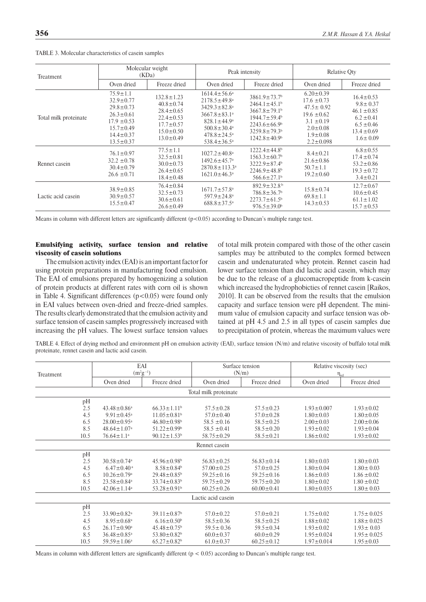| Treatment             | Molecular weight<br>(KDa)                                                                                                                           |                                                                                                                                    |                                                                                                                                                                                                                     | Peak intensity                                                                                                                                                                                                             | <b>Relative Qty</b>                                                                                                                               |                                                                                                                               |
|-----------------------|-----------------------------------------------------------------------------------------------------------------------------------------------------|------------------------------------------------------------------------------------------------------------------------------------|---------------------------------------------------------------------------------------------------------------------------------------------------------------------------------------------------------------------|----------------------------------------------------------------------------------------------------------------------------------------------------------------------------------------------------------------------------|---------------------------------------------------------------------------------------------------------------------------------------------------|-------------------------------------------------------------------------------------------------------------------------------|
|                       | Oven dried                                                                                                                                          | Freeze dried                                                                                                                       | Oven dried                                                                                                                                                                                                          | Freeze dried                                                                                                                                                                                                               | Oven dried                                                                                                                                        | Freeze dried                                                                                                                  |
| Total milk proteinate | $75.9 \pm 1.1$<br>$32.9 \pm 0.77$<br>$29.8 \pm 0.73$<br>$26.3 \pm 0.61$<br>$17.9 \pm 0.53$<br>$15.7 \pm 0.49$<br>$14.4 \pm 0.37$<br>$13.5 \pm 0.37$ | $132.8 \pm 1.23$<br>$40.8 \pm 0.74$<br>$28.4 \pm 0.65$<br>$22.4 \pm 0.53$<br>$17.7 \pm 0.57$<br>$15.0 \pm 0.50$<br>$13.0 \pm 0.49$ | $1614.4 \pm 56.6^a$<br>$2178.5 \pm 49.8^a$<br>$3429.3 \pm 82.8$ <sup>a</sup><br>$3667.8 \pm 83.1^a$<br>$828.1 \pm 44.9^{\circ}$<br>$500.8 \pm 30.4^{\circ}$<br>$478.8 \pm 24.5^{\circ}$<br>$538.4 \pm 36.5^{\circ}$ | $3861.9 \pm 73.7$ <sup>b</sup><br>$2464.1 \pm 45.1^b$<br>$3667.8 \pm 79.1$ <sup>b</sup><br>$1944.7 \pm 59.4$ <sup>b</sup><br>$2243.6 \pm 66.9$ <sup>b</sup><br>$3259.8 \pm 79.3^{\circ}$<br>$1242.8 \pm 40.9$ <sup>b</sup> | $6.20 \pm 0.39$<br>$17.6 \pm 0.73$<br>$47.5 \pm 0.92$<br>$19.6 \pm 0.62$<br>$3.1 \pm 0.19$<br>$2.0 \pm 0.08$<br>$1.9 \pm 0.08$<br>$2.2 \pm 0.098$ | $16.4 \pm 0.53$<br>$9.8 \pm 0.37$<br>$46.1 \pm 0.85$<br>$6.2 \pm 0.41$<br>$6.5 \pm 0.46$<br>$13.4 \pm 0.69$<br>$1.6 \pm 0.09$ |
| Rennet casein         | $76.1 \pm 0.97$<br>$32.2 \pm 0.78$<br>$30.4 \pm 0.79$<br>$26.6 \pm 0.71$                                                                            | $77.5 \pm 1.1$<br>$32.5 \pm 0.81$<br>$30.0 \pm 0.73$<br>$26.4 \pm 0.65$<br>$18.4 \pm 0.48$                                         | $1027.2 \pm 40.8^{\text{a}}$<br>$1492.6 \pm 45.7$ <sup>a</sup><br>$2870.8 \pm 113.3$ <sup>a</sup><br>$1621.0 \pm 46.3$ <sup>a</sup>                                                                                 | $1222.4 \pm 44.8$ <sup>b</sup><br>$1563.3 \pm 60.7$ <sup>b</sup><br>$3222.9 \pm 87.4$ <sup>b</sup><br>$2246.9 \pm 48.8$ <sup>b</sup><br>$566.6 \pm 27.1$ <sup>b</sup>                                                      | $8.4 \pm 0.21$<br>$21.6 \pm 0.86$<br>$50.7 \pm 1.1$<br>$19.2 \pm 0.60$                                                                            | $6.8 \pm 0.55$<br>$17.4 \pm 0.74$<br>$53.2 \pm 0.86$<br>$19.3 \pm 0.72$<br>$3.4 \pm 0.21$                                     |
| Lactic acid casein    | $38.9 \pm 0.85$<br>$30.9 \pm 0.57$<br>$15.5 \pm 0.47$                                                                                               | $76.4 \pm 0.84$<br>$32.5 \pm 0.73$<br>$30.6 \pm 0.61$<br>$26.6 \pm 0.49$                                                           | $1671.7 \pm 57.8^{\circ}$<br>$597.9 \pm 24.8$ <sup>a</sup><br>$688.8 \pm 37.5^{\circ}$                                                                                                                              | $892.9 \pm 32.8$ <sup>b</sup><br>$786.8 \pm 36.7$ <sup>b</sup><br>$2273.7 \pm 61.5^{\circ}$<br>$976.5 \pm 39.0^{\circ}$                                                                                                    | $15.8 \pm 0.74$<br>$69.8 \pm 1.1$<br>$14.3 \pm 0.53$                                                                                              | $12.7 \pm 0.67$<br>$10.6 \pm 0.45$<br>$61.1 \pm 1.02$<br>$15.7 \pm 0.53$                                                      |

Table 3. Molecular characteristics of casein samples

Means in column with different letters are significantly different  $(p<0.05)$  according to Duncan's multiple range test.

# Emulsifying activity, surface tension and relative viscosity of casein solutions

The emulsion activity index (EAI) is an important factor for using protein preparations in manufacturing food emulsion. The EAI of emulsions prepared by homogenizing a solution of protein products at different rates with corn oil is shown in Table 4. Significant differences  $(p<0.05)$  were found only in EAI values between oven-dried and freeze-dried samples. The results clearly demonstrated that the emulsion activity and surface tension of casein samples progressively increased with increasing the pH values. The lowest surface tension values of total milk protein compared with those of the other casein samples may be attributed to the complex formed between casein and undenaturated whey protein. Rennet casein had lower surface tension than did lactic acid casein, which may be due to the release of a glucomacropeptide from k-casein which increased the hydrophobicties of rennet casein [Raikos, 2010]. It can be observed from the results that the emulsion capacity and surface tension were pH dependent. The minimum value of emulsion capacity and surface tension was obtained at pH 4.5 and 2.5 in all types of casein samples due to precipitation of protein, whereas the maximum values were

Table 4. Effect of drying method and environment pH on emulsion activity (EAI), surface tension (N/m) and relative viscosity of buffalo total milk proteinate, rennet casein and lactic acid casein.

| Treatment | EAI<br>$(m^2g^{-1})$          |                               |                       | Surface tension<br>(N/m) | Relative viscosity (sec)<br>$\eta_{rel}$ |                  |
|-----------|-------------------------------|-------------------------------|-----------------------|--------------------------|------------------------------------------|------------------|
|           | Oven dried                    | Freeze dried                  | Oven dried            | Freeze dried             | Oven dried                               | Freeze dried     |
|           |                               |                               | Total milk proteinate |                          |                                          |                  |
| pH        |                               |                               |                       |                          |                                          |                  |
| 2.5       | $43.48 \pm 0.86^a$            | $66.33 \pm 1.11^b$            | $57.5 \pm 0.28$       | $57.5 \pm 0.23$          | $1.93 \pm 0.007$                         | $1.93 \pm 0.02$  |
| 4.5       | $9.91 \pm 0.45$ <sup>a</sup>  | $11.05 \pm 0.81$ <sup>b</sup> | $57.0 \pm 0.40$       | $57.0 \pm 0.28$          | $1.80 \pm 0.03$                          | $1.80 \pm 0.05$  |
| 6.5       | $28.00 \pm 0.95$ <sup>a</sup> | $46.80 \pm 0.98$ <sup>b</sup> | $58.5 \pm 0.16$       | $58.5 \pm 0.25$          | $2.00 \pm 0.03$                          | $2.00 \pm 0.06$  |
| 8.5       | $48.64 \pm 1.07$ <sup>a</sup> | $51.22 \pm 0.99$ <sup>b</sup> | $58.5 \pm 0.41$       | $58.5 \pm 0.20$          | $1.93 \pm 0.02$                          | $1.93 \pm 0.04$  |
| 10.5      | $76.64 \pm 1.1^a$             | $90.12 \pm 1.53$ <sup>b</sup> | $58.75 \pm 0.29$      | $58.5 \pm 0.21$          | $1.86 \pm 0.02$                          | $1.93 \pm 0.02$  |
|           |                               |                               | Rennet casein         |                          |                                          |                  |
| pH        |                               |                               |                       |                          |                                          |                  |
| 2.5       | $30.58 \pm 0.74$ <sup>a</sup> | $45.96 \pm 0.98$ <sup>b</sup> | $56.83 \pm 0.25$      | $56.83 \pm 0.14$         | $1.80 \pm 0.03$                          | $1.80 \pm 0.03$  |
| 4.5       | $6.47 \pm 0.40$ <sup>a</sup>  | $8.58 \pm 0.84$ <sup>b</sup>  | $57.00 \pm 0.25$      | $57.0 \pm 0.25$          | $1.80 \pm 0.04$                          | $1.80 \pm 0.03$  |
| 6.5       | $10.26 \pm 0.79$ <sup>a</sup> | $29.48 \pm 0.85^b$            | $59.25 \pm 0.16$      | $59.25 \pm 0.16$         | $1.86 \pm 0.03$                          | $1.86 \pm 0.02$  |
| 8.5       | $23.58 \pm 0.84$ <sup>a</sup> | $33.74 \pm 0.83^b$            | $59.75 \pm 0.29$      | $59.75 \pm 0.20$         | $1.80 \pm 0.02$                          | $1.80 \pm 0.02$  |
| 10.5      | $42.06 \pm 1.14$ <sup>a</sup> | $53.28 \pm 0.91$ <sup>b</sup> | $60.25 \pm 0.26$      | $60.00 \pm 0.41$         | $1.80 \pm 0.035$                         | $1.80 \pm 0.03$  |
|           |                               |                               | Lactic acid casein    |                          |                                          |                  |
| pH        |                               |                               |                       |                          |                                          |                  |
| 2.5       | $33.90 \pm 0.82$ <sup>a</sup> | $39.11 \pm 0.87$ <sup>b</sup> | $57.0 \pm 0.22$       | $57.0 \pm 0.21$          | $1.75 \pm 0.02$                          | $1.75 \pm 0.025$ |
| 4.5       | $8.95 \pm 0.68$ <sup>a</sup>  | $6.16 \pm 0.50^b$             | $58.5 \pm 0.36$       | $58.5 \pm 0.25$          | $1.88 \pm 0.02$                          | $1.88 \pm 0.025$ |
| 6.5       | $26.17 \pm 0.90^{\text{a}}$   | $45.48 \pm 0.75$ <sup>b</sup> | $59.5 \pm 0.36$       | $59.5 \pm 0.34$          | $1.93 \pm 0.02$                          | $1.93 \pm 0.03$  |
| 8.5       | $36.48 \pm 0.85$ <sup>a</sup> | $53.80 \pm 0.82$ <sup>b</sup> | $60.0 \pm 0.37$       | $60.0 \pm 0.29$          | $1.95 \pm 0.024$                         | $1.95 \pm 0.025$ |
| 10.5      | $59.59 \pm 1.06^a$            | $65.27 \pm 0.82$ <sup>b</sup> | $61.0 \pm 0.37$       | $60.25 \pm 0.12$         | $1.97 \pm 0.014$                         | $1.95 \pm 0.03$  |

Means in column with different letters are significantly different ( $p < 0.05$ ) according to Duncan's multiple range test.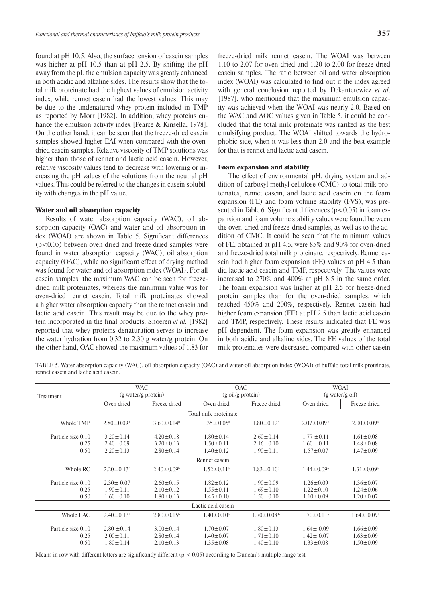found at pH 10.5. Also, the surface tension of casein samples was higher at pH 10.5 than at pH 2.5. By shifting the pH away from the pI, the emulsion capacity was greatly enhanced in both acidic and alkaline sides. The results show that the total milk proteinate had the highest values of emulsion activity index, while rennet casein had the lowest values. This may be due to the undenatured whey protein included in TMP as reported by Morr [1982]. In addition, whey proteins enhance the emulsion activity index [Pearce & Kinsella, 1978]. On the other hand, it can be seen that the freeze-dried casein samples showed higher EAI when compared with the ovendried casein samples. Relative viscosity of TMP solutions was higher than those of rennet and lactic acid casein. However, relative viscosity values tend to decrease with lowering or increasing the pH values of the solutions from the neutral pH values. This could be referred to the changes in casein solubility with changes in the pH value.

### Water and oil absorption capacity

Results of water absorption capacity (WAC), oil absorption capacity (OAC) and water and oil absorption index (WOAI) are shown in Table 5. Significant differences (p<0.05) between oven dried and freeze dried samples were found in water absorption capacity (WAC), oil absorption capacity (OAC), while no significant effect of drying method was found for water and oil absorption index (WOAI). For all casein samples, the maximum WAC can be seen for freezedried milk proteinates, whereas the minimum value was for oven-dried rennet casein. Total milk proteinates showed a higher water absorption capacity than the rennet casein and lactic acid casein. This result may be due to the whey protein incorporated in the final products. Snoeren *et al.* [1982] reported that whey proteins denaturation serves to increase the water hydration from 0.32 to 2.30 g water/g protein. On the other hand, OAC showed the maximum values of 1.83 for freeze-dried milk rennet casein. The WOAI was between 1.10 to 2.07 for oven-dried and 1.20 to 2.00 for freeze-dried casein samples. The ratio between oil and water absorption index (WOAI) was calculated to find out if the index agreed with general conclusion reported by Dekanterewicz *et al*. [1987], who mentioned that the maximum emulsion capacity was achieved when the WOAI was nearly 2.0. Based on the WAC and AOC values given in Table 5, it could be concluded that the total milk proteinate was ranked as the best emulsifying product. The WOAI shifted towards the hydrophobic side, when it was less than 2.0 and the best example for that is rennet and lactic acid casein.

## Foam expansion and stability

The effect of environmental pH, drying system and addition of carboxyl methyl cellulose (CMC) to total milk proteinates, rennet casein, and lactic acid casein on the foam expansion (FE) and foam volume stability (FVS), was presented in Table 6. Significant differences ( $p < 0.05$ ) in foam expansion and foam volume stability values were found between the oven-dried and freeze-dried samples, as well as to the addition of CMC. It could be seen that the minimum values of FE, obtained at pH 4.5, were 85% and 90% for oven-dried and freeze-dried total milk proteinate, respectively. Rennet casein had higher foam expansion (FE) values at pH 4.5 than did lactic acid casein and TMP, respectively. The values were increased to 270% and 400% at pH 8.5 in the same order. The foam expansion was higher at pH 2.5 for freeze-dried protein samples than for the oven-dried samples, which reached 450% and 200%, respectively. Rennet casein had higher foam expansion (FE) at pH 2.5 than lactic acid casein and TMP, respectively. These results indicated that FE was pH dependent. The foam expansion was greatly enhanced in both acidic and alkaline sides. The FE values of the total milk proteinates were decreased compared with other casein

Table 5. Water absorption capacity (WAC), oil absorption capacity (OAC) and water-oil absorption index (WOAI) of buffalo total milk proteinate, rennet casein and lactic acid casein.

| Treatment                          |                                                       | <b>WAC</b><br>(g water/g protein)                     |                                                       | <b>OAC</b><br>$(g \text{ oil/g protein})$             | <b>WOAI</b><br>(g water/g oil)                        |                                                       |
|------------------------------------|-------------------------------------------------------|-------------------------------------------------------|-------------------------------------------------------|-------------------------------------------------------|-------------------------------------------------------|-------------------------------------------------------|
|                                    | Oven dried                                            | Freeze dried                                          | Oven dried                                            | Freeze dried                                          | Oven dried                                            | Freeze dried                                          |
|                                    |                                                       |                                                       | Total milk proteinate                                 |                                                       |                                                       |                                                       |
| Whole TMP                          | $2.80 \pm 0.09$ <sup>a</sup>                          | $3.60 \pm 0.14$ <sup>b</sup>                          | $1.35 \pm 0.05^{\circ}$                               | $1.80 \pm 0.12^b$                                     | $2.07 \pm 0.09$ <sup>a</sup>                          | $2.00 \pm 0.09^{\text{a}}$                            |
| Particle size 0.10<br>0.25<br>0.50 | $3.20 \pm 0.14$<br>$2.40 \pm 0.09$<br>$2.20 \pm 0.13$ | $4.20 \pm 0.18$<br>$3.20 \pm 0.13$<br>$2.80 \pm 0.14$ | $1.80 \pm 0.14$<br>$1.50 \pm 0.11$<br>$1.40 \pm 0.12$ | $2.60 \pm 0.14$<br>$2.16 \pm 0.10$<br>$1.90 \pm 0.11$ | $1.77 \pm 0.11$<br>$1.60 \pm 0.11$<br>$1.57 \pm 0.07$ | $1.61 \pm 0.08$<br>$1.48 \pm 0.08$<br>$1.47 \pm 0.09$ |
|                                    |                                                       |                                                       | Rennet casein                                         |                                                       |                                                       |                                                       |
| Whole RC                           | $2.20 \pm 0.13$ <sup>a</sup>                          | $2.40 \pm 0.09$ <sup>b</sup>                          | $1.52 \pm 0.11$ <sup>a</sup>                          | $1.83 \pm 0.10^b$                                     | $1.44 \pm 0.09^a$                                     | $1.31 \pm 0.09^a$                                     |
| Particle size 0.10<br>0.25<br>0.50 | $2.30 \pm 0.07$<br>$1.90 \pm 0.11$<br>$1.60 \pm 0.10$ | $2.60 \pm 0.15$<br>$2.10 \pm 0.12$<br>$1.80 \pm 0.13$ | $1.82 \pm 0.12$<br>$1.55 \pm 0.11$<br>$1.45 \pm 0.10$ | $1.90 \pm 0.09$<br>$1.69 \pm 0.10$<br>$1.50 \pm 0.10$ | $1.26 \pm 0.09$<br>$1.22 \pm 0.10$<br>$1.10 \pm 0.09$ | $1.36 \pm 0.07$<br>$1.24 \pm 0.06$<br>$1.20 \pm 0.07$ |
|                                    |                                                       |                                                       | Lactic acid casein                                    |                                                       |                                                       |                                                       |
| Whole LAC                          | $2.40 \pm 0.13$ <sup>a</sup>                          | $2.80 \pm 0.15^b$                                     | $1.40 \pm 0.10^a$                                     | $1.70 \pm 0.08^{\mathrm{b}}$                          | $1.70 \pm 0.11$ <sup>a</sup>                          | $1.64 \pm 0.09^{\circ}$                               |
| Particle size 0.10<br>0.25<br>0.50 | $2.80 \pm 0.14$<br>$2.00 \pm 0.11$<br>$1.80 \pm 0.14$ | $3.00 \pm 0.14$<br>$2.80 \pm 0.14$<br>$2.10 \pm 0.13$ | $1.70 \pm 0.07$<br>$1.40 \pm 0.07$<br>$1.35 \pm 0.08$ | $1.80 \pm 0.13$<br>$1.71 \pm 0.10$<br>$1.40 \pm 0.10$ | $1.64 \pm 0.09$<br>$1.42 \pm 0.07$<br>$1.33 \pm 0.08$ | $1.66 \pm 0.09$<br>$1.63 \pm 0.09$<br>$1.50 \pm 0.09$ |

Means in row with different letters are significantly different ( $p < 0.05$ ) according to Duncan's multiple range test.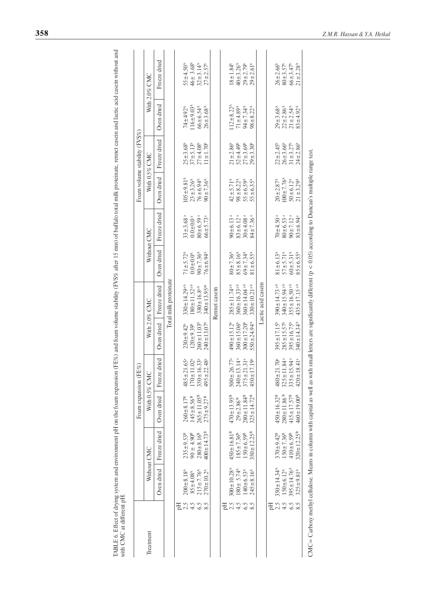| Treatment |                              |                            |                              | Foam expansion (FE%)            |                              |                               |                            |                            |                        | Foam volume stability (FVS%) |                            |                            |
|-----------|------------------------------|----------------------------|------------------------------|---------------------------------|------------------------------|-------------------------------|----------------------------|----------------------------|------------------------|------------------------------|----------------------------|----------------------------|
|           | Without CMC                  |                            |                              | With 0.5% CMC                   |                              | With $2.0\%$ CMC              |                            | Without CMC                |                        | With $0.5\%$ CMC             |                            | With $2.0\%$ CMC           |
|           | Oven dried                   | Freeze dried               | Oven dried                   | Freeze dried                    |                              | Oven dried   Freeze dried     | Oven dried                 | Freeze dried               | Oven dried             | Freeze dried                 | Oven dried                 | Freeze dried               |
|           |                              |                            |                              |                                 |                              | Total milk proteinate         |                            |                            |                        |                              |                            |                            |
| 2.5       | $200 \pm 8.18^{\circ}$       | $235 \pm 9.53^{B}$         | $260 \pm 8.17^{p}$           | .65a<br>$485 \pm 21$            | $230 \pm 9.42^b$             | $330 \pm 14.29$ <sup>ab</sup> | $71 \pm 5.72^{\circ}$      | $33 \pm 3.68^{\rm a}$      | $105 \pm 9.81^{\circ}$ | $25 \pm 3.68$                | 74±492 <sup>A</sup>        | $55 + 4.50^{\circ}$        |
|           | $85 + 4.08^{\circ}$          | $90.4490^{\text{B}}$       | $145 \pm 8.56$ <sup>B</sup>  | $170 \pm 11.02^{\circ}$         | $120 + 9.39$ <sup>b</sup>    | $180 \pm 11.52$ <sup>ab</sup> | $0.0 + 0.0^4$              | $0.0 + 0.0$ <sup>a</sup>   | $23 + 3.26^{\circ}$    | $37 + 5.13^{b}$              | $116 \pm 9.03^{\circ}$     | $46 \pm 3.68$ <sup>b</sup> |
| 6.5       | $215 + 7.76^{\circ}$         | $280 \pm 8.16^{8}$         | $265 \pm 11.05^{\text{B}}$   | $350 \pm 16.33$                 | $260 \pm 11.03$ <sup>t</sup> | $380 \pm 16.8$ <sup>ab</sup>  | $90 + 7.36$                | $80 + 6.59$ <sup>a</sup>   | $76 + 6.94$            | $27 + 4.08$                  | $66 \pm 6.54$ <sup>A</sup> | $32 + 3.14$ <sup>b</sup>   |
|           | $270 \pm 10.2^{\circ}$       | $400 \pm 14.73^{\text{B}}$ | $275 \pm 9.27$ <sup>B</sup>  | $495 \pm 22.48$                 | $240 \pm 13.07^{\circ}$      | $340 \pm 13.95$ <sup>ab</sup> | $76 + 6.94$                | $66 \pm 5.73$ <sup>a</sup> | $90 + 7.36^{\circ}$    | $11 \pm 1.70^{\circ}$        | $26 + 3.68$ <sup>A</sup>   | $27 + 2.57$ <sup>b</sup>   |
|           |                              |                            |                              |                                 |                              | Rennet casein                 |                            |                            |                        |                              |                            |                            |
|           |                              |                            |                              |                                 |                              |                               |                            |                            |                        |                              |                            |                            |
| 2.5       | $300 \pm 10.28$ <sup>*</sup> | 450±16.81 <sup>B</sup>     | $470 \pm 13.95^{\text{B}}$   | $500 \pm 26.77$ <sup>a</sup>    | $490 \pm 15.12^b$            | $285 \pm 11.74$ <sup>ab</sup> | $80 + 7.36$                | $90 \pm 6.13$ <sup>a</sup> | $42 + 5.71^{\circ}$    | $21 \pm 2.86^{\circ}$        | $112 \pm 8.22^{\circ}$     | $18 + 1.84^{\circ}$        |
|           | $180 \pm 5.74$ <sup>A</sup>  | $185 \pm 7.36^8$           | $29 \pm 2.86$ <sup>B</sup>   | $240 \pm 13.14$ <sup>a</sup>    | $360 \pm 15.06$ <sup>b</sup> | $360 \pm 16.33$ <sup>ab</sup> | $85 \pm 8.16$              | $83 \pm 6.12$ <sup>a</sup> | $98 \pm 8.22^{\circ}$  | $52 + 4.49^b$                | $71 + 4.89$                | $40 + 3.26^{\circ}$        |
|           | $140 \pm 6.53^{\circ}$       | $150 \pm 6.59^{\circ}$     | $280 \pm 11.84^{B}$          | $375 \pm 21.31$ <sup>a</sup>    | $300 \pm 17.20^{\circ}$      | $360 \pm 14.04$ <sup>ab</sup> | $69 \pm 7.34$ <sup>A</sup> | $30 + 4.08$ <sup>a</sup>   | $55 \pm 6.59^{\circ}$  | $27 + 3.69^{\circ}$          | $94 \pm 7.34$ <sup>A</sup> | $29 + 2.79$ <sup>b</sup>   |
|           | $245 \pm 8.16^{\circ}$       | $350 \pm 12.25^{\rm B}$    | $325 \pm 14.72^B$            | $450 \pm 17.19$                 | $550 \pm 24.94$ <sup>b</sup> | $330 \pm 10.21$ <sup>ab</sup> | $81 + 6.55^{\circ}$        | $84 \pm 7.36^{\rm a}$      | $55 \pm 6.35^{\circ}$  | $29 + 3.30^b$                | $98 + 8.22^{\circ}$        | $29 + 2.61^b$              |
|           |                              |                            |                              |                                 |                              | Lactic acid casein            |                            |                            |                        |                              |                            |                            |
| 핌         |                              |                            |                              |                                 |                              |                               |                            |                            |                        |                              |                            |                            |
| 2.5       | $350 \pm 14.34^{\circ}$      | $370 \pm 9.42^{\text{B}}$  | $450 \pm 16.32^{B}$          | 1.70 <sup>a</sup><br>$480 + 21$ | $395 \pm 17.15^{\circ}$      | $390 \pm 14.73$ <sup>ab</sup> | $81 + 6.13^{\circ}$        | $70 + 4.50$ <sup>a</sup>   | $20 + 2.87^{\text{A}}$ | $22 \pm 2.45^{\circ}$        | $29 + 3.68$                | $26 + 2.66^{\circ}$        |
|           | $150 \pm 6.12^{\circ}$       | $150 \pm 7.36^{\circ}$     | $280 \pm 11.86$ <sup>B</sup> | 1.84a<br>$325 \pm 11$           | $285 \pm 15.57^b$            | 340±15.94 <sup>ab</sup>       | $57 + 5.71^{\circ}$        | $80 + 6.53$ <sup>a</sup>   | $100 + 7.76^{\circ}$   | $26 + 3.66^{\circ}$          | $22 \pm 2.86^{\circ}$      | $80 + 3.57^{\circ}$        |
|           | $395 \pm 14.76$              | $410 + 6.59$ <sup>B</sup>  | $415 \pm 17.57^{\text{B}}$   | $335 \pm 15.94$ <sup>a</sup>    | $395 \pm 16.75^{\circ}$      | $355 \pm 16.50$ <sup>ab</sup> | $60 + 5.31^{\circ}$        | $90 + 7.12$ <sup>a</sup>   | $50 + 6.12^{\circ}$    | $31 + 3.27$                  | $21 + 2.54$ <sup>*</sup>   | $66 + 3.47$                |
|           | $325 \pm 9.81^{\circ}$       | $320 \pm 12.25^{\text{B}}$ | $460 \pm 19.00^{\text{B}}$   | $420 \pm 18.41$ <sup>a</sup>    | $340 \pm 14.34^{\circ}$      | $435 \pm 17.15$ ab            | $85 \pm 6.55^{\circ}$      | $83 + 6.94$ <sup>a</sup>   | $21 + 3.29^{\circ}$    | $24 \pm 2.86^{\circ}$        | $83 + 4.92^A$              | $21 + 2.28$                |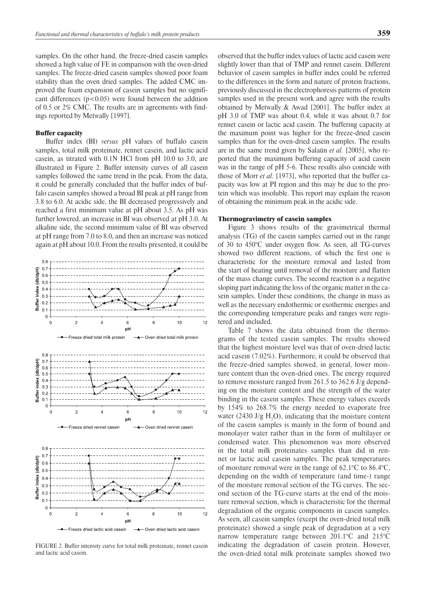samples. On the other hand, the freeze-dried casein samples showed a high value of FE in comparison with the oven-dried samples. The freeze-dried casein samples showed poor foam stability than the oven dried samples. The added CMC improved the foam expansion of casein samples but no significant differences  $(p<0.05)$  were found between the addition of 0.5 or 2% CMC. The results are in agreements with findings reported by Metwally [1997].

### Buffer capacity

Buffer index (BI) *versus* pH values of buffalo casein samples, total milk proteinate, rennet casein, and lactic acid casein, as titrated with 0.1N HCl from pH 10.0 to 3.0, are illustrated in Figure 2. Buffer intensity curves of all casein samples followed the same trend in the peak. From the data, it could be generally concluded that the buffer index of buffalo casein samples showed a broad BI peak at pH range from 3.8 to 6.0. At acidic side, the BI decreased progressively and reached a first minimum value at pH about 3.5. As pH was further lowered, an increase in BI was observed at pH 3.0. At alkaline side, the second minimum value of BI was observed at pH range from 7.0 to 8.0, and then an increase was noticed again at pH about 10.0. From the results presented, it could be



FIGURE 2. Buffer intensity curve for total milk proteinate, rennet casein and lactic acid casein.

observed that the buffer index values of lactic acid casein were slightly lower than that of TMP and rennet casein. Different behavior of casein samples in buffer index could be referred to the differences in the form and nature of protein fractions, previously discussed in the electrophoresis patterns of protein samples used in the present work and agree with the results obtained by Metwally & Awad [2001]. The buffer index at pH 3.0 of TMP was about 0.4, while it was about 0.7 for rennet casein or lactic acid casein. The buffering capacity at the maximum point was higher for the freeze-dried casein samples than for the oven-dried casein samples. The results are in the same trend given by Salaün *et al.* [2005], who reported that the maximum buffering capacity of acid casein was in the range of pH 5-6. These results also coincide with those of Morr *et al.* [1973], who reported that the buffer capacity was low at PI region and this may be due to the protein which was insoluble. This report may explain the reason of obtaining the minimum peak in the acidic side.

### Thermogravimetry of casein samples

Figure 3 shows results of the gravimetrical thermal analysis (TG) of the casein samples carried out in the range of 30 to 450°C under oxygen flow. As seen, all TG-curves showed two different reactions, of which the first one is characteristic for the moisture removal and lasted from the start of heating until removal of the moisture and flatten of the mass change curves. The second reaction is a negative sloping part indicating the loss of the organic matter in the casein samples. Under these conditions, the change in mass as well as the necessary endothermic or exothermic energies and the corresponding temperature peaks and ranges were registered and included.

Table 7 shows the data obtained from the thermograms of the tested casein samples. The results showed that the highest moisture level was that of oven-dried lactic acid casein (7.02%). Furthermore, it could be observed that the freeze-dried samples showed, in general, lower moisture content than the oven-dried ones. The energy required to remove moisture ranged from 261.5 to 362.6 J/g depending on the moisture content and the strength of the water binding in the casein samples. These energy values exceeds by 154% to 268.7% the energy needed to evaporate free water (2430 J/g  $H_2O$ ), indicating that the moisture content of the casein samples is mainly in the form of bound and monolayer water rather than in the form of multilayer or condensed water. This phenomenon was more observed in the total milk proteinates samples than did in rennet or lactic acid casein samples. The peak temperatures of moisture removal were in the range of 62.1°C to 86.4°C, depending on the width of temperature (and time-) range of the moisture removal section of the TG curves. The second section of the TG-curve starts at the end of the moisture removal section, which is characteristic for the thermal degradation of the organic components in casein samples. As seen, all casein samples (except the oven-dried total milk proteinate) showed a single peak of degradation at a very narrow temperature range between 201.1°C and 215°C indicating the degradation of casein protein. However, the oven-dried total milk proteinate samples showed two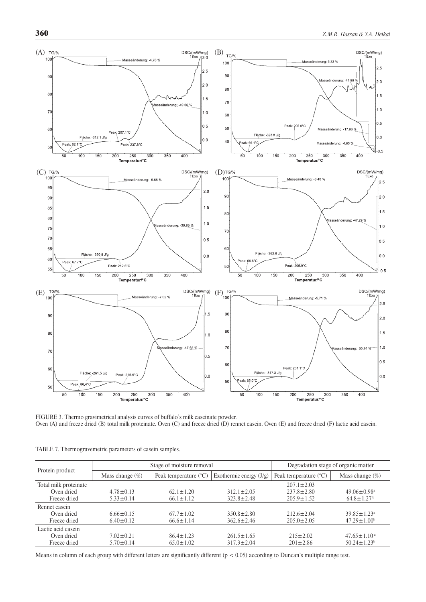

FIGURE 3. Thermo gravimetrical analysis curves of buffalo's milk caseinate powder. Oven (A) and freeze dried (B) total milk proteinate. Oven (C) and freeze dried (D) rennet casein. Oven (E) and freeze dried (F) lactic acid casein.

|                       |                    | Stage of moisture removal      | Degradation stage of organic matter |                                |                               |
|-----------------------|--------------------|--------------------------------|-------------------------------------|--------------------------------|-------------------------------|
| Protein product       | Mass change $(\%)$ | Peak temperature $(^{\circ}C)$ | Exothermic energy $(J/g)$           | Peak temperature $(^{\circ}C)$ | Mass change $(\%)$            |
| Total milk proteinate |                    |                                |                                     | $207.1 \pm 2.03$               |                               |
| Oven dried            | $4.78 \pm 0.13$    | $62.1 \pm 1.20$                | $312.1 \pm 2.05$                    | $237.8 \pm 2.80$               | $49.06 \pm 0.98$ <sup>a</sup> |
| Freeze dried          | $5.33 \pm 0.14$    | $66.1 \pm 1.12$                | $323.8 \pm 2.48$                    | $205.9 \pm 1.52$               | $64.8 \pm 1.27$ <sup>b</sup>  |
| Rennet casein         |                    |                                |                                     |                                |                               |
| Oven dried            | $6.66 \pm 0.15$    | $67.7 \pm 1.02$                | $350.8 \pm 2.80$                    | $212.6 \pm 2.04$               | $39.85 \pm 1.23$ <sup>a</sup> |
| Freeze dried          | $6.40 \pm 0.12$    | $66.6 \pm 1.14$                | $362.6 \pm 2.46$                    | $205.0 \pm 2.05$               | $47.29 \pm 1.00^b$            |
| Lactic acid casein    |                    |                                |                                     |                                |                               |
| Oven dried            | $7.02 \pm 0.21$    | $86.4 \pm 1.23$                | $261.5 \pm 1.65$                    | $215 \pm 2.02$                 | $47.65 \pm 1.10^{\text{a}}$   |
| Freeze dried          | $5.70 \pm 0.14$    | $65.0 \pm 1.02$                | $317.3 \pm 2.04$                    | $201 \pm 2.86$                 | $50.24 \pm 1.23$ <sup>b</sup> |

Table 7. Thermogravemetric parameters of casein samples.

Means in column of each group with different letters are significantly different (p < 0.05) according to Duncan's multiple range test.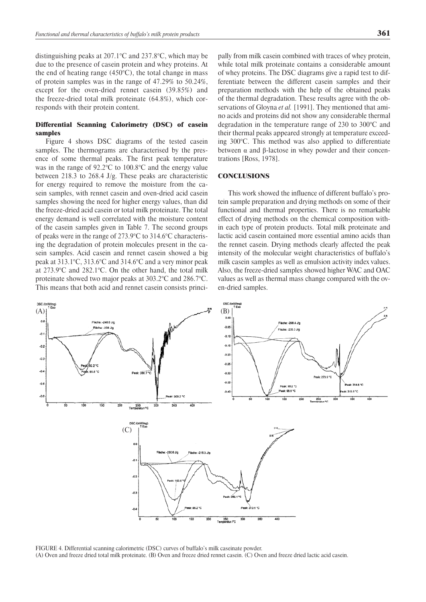distinguishing peaks at 207.1°C and 237.8°C, which may be due to the presence of casein protein and whey proteins. At the end of heating range  $(450^{\circ}C)$ , the total change in mass of protein samples was in the range of 47.29% to 50.24%, except for the oven-dried rennet casein (39.85%) and the freeze-dried total milk proteinate (64.8%), which corresponds with their protein content.

# Differential Scanning Calorimetry (DSC) of casein samples

Figure 4 shows DSC diagrams of the tested casein samples. The thermograms are characterised by the presence of some thermal peaks. The first peak temperature was in the range of 92.2°C to 100.8°C and the energy value between 218.3 to 268.4 J/g. These peaks are characteristic for energy required to remove the moisture from the casein samples, with rennet casein and oven-dried acid casein samples showing the need for higher energy values, than did the freeze-dried acid casein or total milk proteinate. The total energy demand is well correlated with the moisture content of the casein samples given in Table 7. The second groups of peaks were in the range of 273.9°C to 314.6°C characterising the degradation of protein molecules present in the casein samples. Acid casein and rennet casein showed a big peak at 313.1°C, 313.6°C and 314.6°C and a very minor peak at 273.9°C and 282.1°C. On the other hand, the total milk proteinate showed two major peaks at 303.2°C and 286.7°C. This means that both acid and rennet casein consists princi-

pally from milk casein combined with traces of whey protein, while total milk proteinate contains a considerable amount of whey proteins. The DSC diagrams give a rapid test to differentiate between the different casein samples and their preparation methods with the help of the obtained peaks of the thermal degradation. These results agree with the observations of Gloyna *et al.* [1991]. They mentioned that amino acids and proteins did not show any considerable thermal degradation in the temperature range of 230 to 300°C and their thermal peaks appeared strongly at temperature exceeding 300°C. This method was also applied to differentiate between α and β-lactose in whey powder and their concentrations [Ross, 1978].

## **CONCLUSIONS**

This work showed the influence of different buffalo's protein sample preparation and drying methods on some of their functional and thermal properties. There is no remarkable effect of drying methods on the chemical composition within each type of protein products. Total milk proteinate and lactic acid casein contained more essential amino acids than the rennet casein. Drying methods clearly affected the peak intensity of the molecular weight characteristics of buffalo's milk casein samples as well as emulsion activity index values. Also, the freeze-dried samples showed higher WAC and OAC values as well as thermal mass change compared with the oven-dried samples.



Figure 4. Differential scanning calorimetric (DSC) curves of buffalo's milk caseinate powder. (A) Oven and freeze dried total milk proteinate. (B) Oven and freeze dried rennet casein. (C) Oven and freeze dried lactic acid casein.